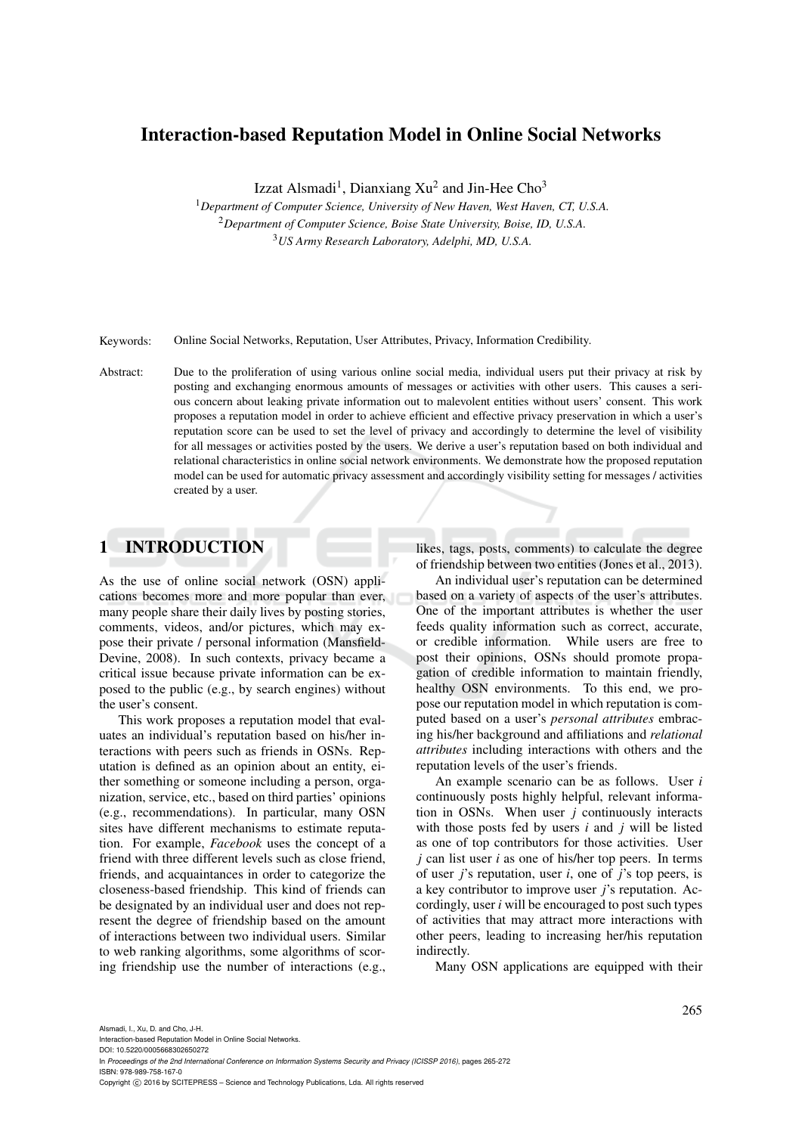### Interaction-based Reputation Model in Online Social Networks

Izzat Alsmadi<sup>1</sup>, Dianxiang  $Xu^2$  and Jin-Hee Cho<sup>3</sup>

<sup>1</sup>*Department of Computer Science, University of New Haven, West Haven, CT, U.S.A.* <sup>2</sup>*Department of Computer Science, Boise State University, Boise, ID, U.S.A.* <sup>3</sup>*US Army Research Laboratory, Adelphi, MD, U.S.A.*

Keywords: Online Social Networks, Reputation, User Attributes, Privacy, Information Credibility.

Abstract: Due to the proliferation of using various online social media, individual users put their privacy at risk by posting and exchanging enormous amounts of messages or activities with other users. This causes a serious concern about leaking private information out to malevolent entities without users' consent. This work proposes a reputation model in order to achieve efficient and effective privacy preservation in which a user's reputation score can be used to set the level of privacy and accordingly to determine the level of visibility for all messages or activities posted by the users. We derive a user's reputation based on both individual and relational characteristics in online social network environments. We demonstrate how the proposed reputation model can be used for automatic privacy assessment and accordingly visibility setting for messages / activities created by a user.

### 1 INTRODUCTION

As the use of online social network (OSN) applications becomes more and more popular than ever, many people share their daily lives by posting stories, comments, videos, and/or pictures, which may expose their private / personal information (Mansfield-Devine, 2008). In such contexts, privacy became a critical issue because private information can be exposed to the public (e.g., by search engines) without the user's consent.

This work proposes a reputation model that evaluates an individual's reputation based on his/her interactions with peers such as friends in OSNs. Reputation is defined as an opinion about an entity, either something or someone including a person, organization, service, etc., based on third parties' opinions (e.g., recommendations). In particular, many OSN sites have different mechanisms to estimate reputation. For example, *Facebook* uses the concept of a friend with three different levels such as close friend, friends, and acquaintances in order to categorize the closeness-based friendship. This kind of friends can be designated by an individual user and does not represent the degree of friendship based on the amount of interactions between two individual users. Similar to web ranking algorithms, some algorithms of scoring friendship use the number of interactions (e.g.,

likes, tags, posts, comments) to calculate the degree of friendship between two entities (Jones et al., 2013).

An individual user's reputation can be determined based on a variety of aspects of the user's attributes. One of the important attributes is whether the user feeds quality information such as correct, accurate, or credible information. While users are free to post their opinions, OSNs should promote propagation of credible information to maintain friendly, healthy OSN environments. To this end, we propose our reputation model in which reputation is computed based on a user's *personal attributes* embracing his/her background and affiliations and *relational attributes* including interactions with others and the reputation levels of the user's friends.

An example scenario can be as follows. User *i* continuously posts highly helpful, relevant information in OSNs. When user *j* continuously interacts with those posts fed by users *i* and *j* will be listed as one of top contributors for those activities. User *j* can list user *i* as one of his/her top peers. In terms of user *j*'s reputation, user *i*, one of *j*'s top peers, is a key contributor to improve user *j*'s reputation. Accordingly, user *i* will be encouraged to post such types of activities that may attract more interactions with other peers, leading to increasing her/his reputation indirectly.

Many OSN applications are equipped with their

Copyright (C) 2016 by SCITEPRESS - Science and Technology Publications, Lda. All rights reserved

Interaction-based Reputation Model in Online Social Networks.

DOI: 10.5220/0005668302650272 In *Proceedings of the 2nd International Conference on Information Systems Security and Privacy (ICISSP 2016)*, pages 265-272 ISBN: 978-989-758-167-0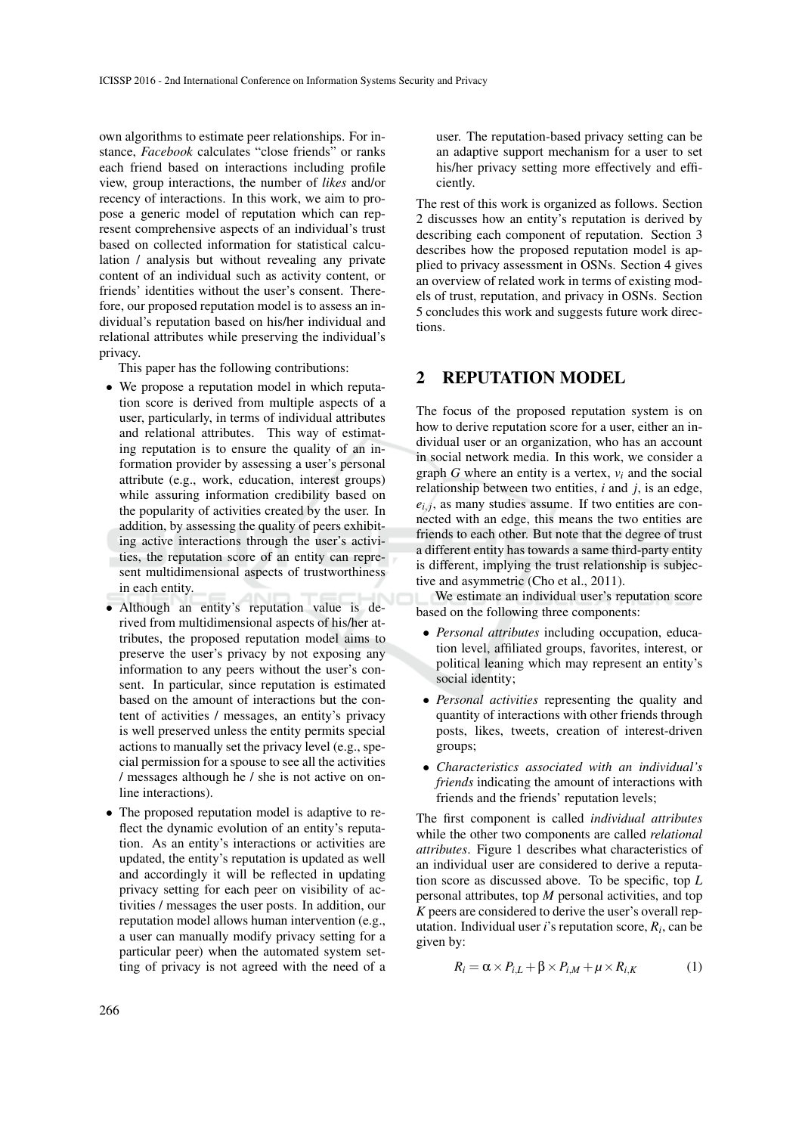own algorithms to estimate peer relationships. For instance, *Facebook* calculates "close friends" or ranks each friend based on interactions including profile view, group interactions, the number of *likes* and/or recency of interactions. In this work, we aim to propose a generic model of reputation which can represent comprehensive aspects of an individual's trust based on collected information for statistical calculation / analysis but without revealing any private content of an individual such as activity content, or friends' identities without the user's consent. Therefore, our proposed reputation model is to assess an individual's reputation based on his/her individual and relational attributes while preserving the individual's privacy.

This paper has the following contributions:

- We propose a reputation model in which reputation score is derived from multiple aspects of a user, particularly, in terms of individual attributes and relational attributes. This way of estimating reputation is to ensure the quality of an information provider by assessing a user's personal attribute (e.g., work, education, interest groups) while assuring information credibility based on the popularity of activities created by the user. In addition, by assessing the quality of peers exhibiting active interactions through the user's activities, the reputation score of an entity can represent multidimensional aspects of trustworthiness in each entity.
- Although an entity's reputation value is derived from multidimensional aspects of his/her attributes, the proposed reputation model aims to preserve the user's privacy by not exposing any information to any peers without the user's consent. In particular, since reputation is estimated based on the amount of interactions but the content of activities / messages, an entity's privacy is well preserved unless the entity permits special actions to manually set the privacy level (e.g., special permission for a spouse to see all the activities / messages although he / she is not active on online interactions).
- The proposed reputation model is adaptive to reflect the dynamic evolution of an entity's reputation. As an entity's interactions or activities are updated, the entity's reputation is updated as well and accordingly it will be reflected in updating privacy setting for each peer on visibility of activities / messages the user posts. In addition, our reputation model allows human intervention (e.g., a user can manually modify privacy setting for a particular peer) when the automated system setting of privacy is not agreed with the need of a

user. The reputation-based privacy setting can be an adaptive support mechanism for a user to set his/her privacy setting more effectively and efficiently.

The rest of this work is organized as follows. Section 2 discusses how an entity's reputation is derived by describing each component of reputation. Section 3 describes how the proposed reputation model is applied to privacy assessment in OSNs. Section 4 gives an overview of related work in terms of existing models of trust, reputation, and privacy in OSNs. Section 5 concludes this work and suggests future work directions.

### 2 REPUTATION MODEL

The focus of the proposed reputation system is on how to derive reputation score for a user, either an individual user or an organization, who has an account in social network media. In this work, we consider a graph *G* where an entity is a vertex,  $v_i$  and the social relationship between two entities, *i* and *j*, is an edge,  $e_{i,j}$ , as many studies assume. If two entities are connected with an edge, this means the two entities are friends to each other. But note that the degree of trust a different entity has towards a same third-party entity is different, implying the trust relationship is subjective and asymmetric (Cho et al., 2011).

We estimate an individual user's reputation score based on the following three components:

- *Personal attributes* including occupation, education level, affiliated groups, favorites, interest, or political leaning which may represent an entity's social identity;
- *Personal activities* representing the quality and quantity of interactions with other friends through posts, likes, tweets, creation of interest-driven groups;
- *Characteristics associated with an individual's friends* indicating the amount of interactions with friends and the friends' reputation levels;

The first component is called *individual attributes* while the other two components are called *relational attributes*. Figure 1 describes what characteristics of an individual user are considered to derive a reputation score as discussed above. To be specific, top *L* personal attributes, top *M* personal activities, and top *K* peers are considered to derive the user's overall reputation. Individual user *i*'s reputation score, *R<sup>i</sup>* , can be given by:

$$
R_i = \alpha \times P_{i,L} + \beta \times P_{i,M} + \mu \times R_{i,K}
$$
 (1)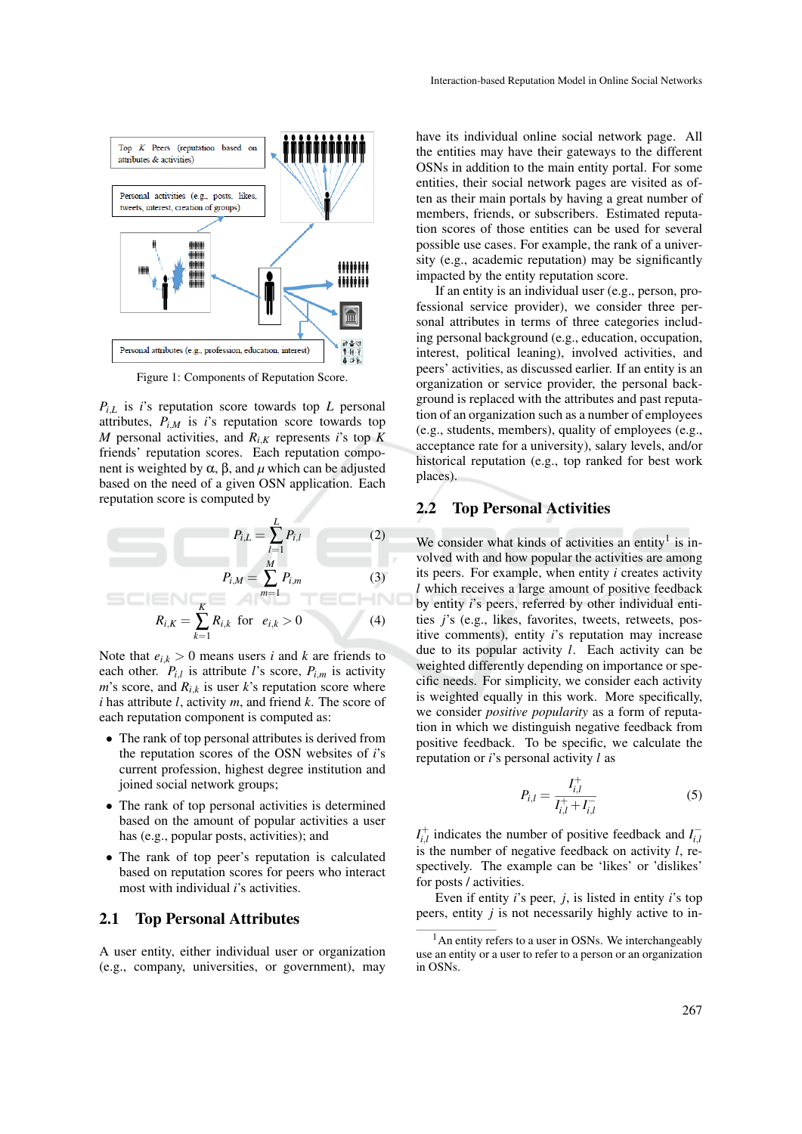

Figure 1: Components of Reputation Score.

 $P_{i,L}$  is *i*'s reputation score towards top *L* personal attributes,  $P_{i,M}$  is *i*'s reputation score towards top *M* personal activities, and  $R_i$ <sub>K</sub> represents *i*'s top *K* friends' reputation scores. Each reputation component is weighted by α, β, and  $\mu$  which can be adjusted based on the need of a given OSN application. Each reputation score is computed by

$$
P_{i,L} = \sum_{l=1}^{L} P_{i,l}
$$
 (2)  

$$
P_{i,M} = \sum_{m=1}^{M} P_{i,m}
$$
 (3)

$$
R_{i,K} = \sum_{k=1}^{K} R_{i,k} \text{ for } e_{i,k} > 0
$$
 (4)

Note that  $e_{i,k} > 0$  means users *i* and *k* are friends to each other.  $P_{i,l}$  is attribute *l*'s score,  $P_{i,m}$  is activity *m*'s score, and  $R_{ik}$  is user *k*'s reputation score where *i* has attribute *l*, activity *m*, and friend *k*. The score of each reputation component is computed as:

- The rank of top personal attributes is derived from the reputation scores of the OSN websites of *i*'s current profession, highest degree institution and joined social network groups;
- The rank of top personal activities is determined based on the amount of popular activities a user has (e.g., popular posts, activities); and
- The rank of top peer's reputation is calculated based on reputation scores for peers who interact most with individual *i*'s activities.

### 2.1 Top Personal Attributes

A user entity, either individual user or organization (e.g., company, universities, or government), may

have its individual online social network page. All the entities may have their gateways to the different OSNs in addition to the main entity portal. For some entities, their social network pages are visited as often as their main portals by having a great number of members, friends, or subscribers. Estimated reputation scores of those entities can be used for several possible use cases. For example, the rank of a university (e.g., academic reputation) may be significantly impacted by the entity reputation score.

If an entity is an individual user (e.g., person, professional service provider), we consider three personal attributes in terms of three categories including personal background (e.g., education, occupation, interest, political leaning), involved activities, and peers' activities, as discussed earlier. If an entity is an organization or service provider, the personal background is replaced with the attributes and past reputation of an organization such as a number of employees (e.g., students, members), quality of employees (e.g., acceptance rate for a university), salary levels, and/or historical reputation (e.g., top ranked for best work places).

#### 2.2 Top Personal Activities

We consider what kinds of activities an entity<sup>1</sup> is involved with and how popular the activities are among its peers. For example, when entity *i* creates activity *l* which receives a large amount of positive feedback by entity *i*'s peers, referred by other individual entities *j*'s (e.g., likes, favorites, tweets, retweets, positive comments), entity *i*'s reputation may increase due to its popular activity *l*. Each activity can be weighted differently depending on importance or specific needs. For simplicity, we consider each activity is weighted equally in this work. More specifically, we consider *positive popularity* as a form of reputation in which we distinguish negative feedback from positive feedback. To be specific, we calculate the reputation or *i*'s personal activity *l* as

$$
P_{i,l} = \frac{I_{i,l}^{+}}{I_{i,l}^{+} + I_{i,l}^{-}}
$$
 (5)

 $I_{i,l}^+$  indicates the number of positive feedback and  $I_{i,l}^$ is the number of negative feedback on activity *l*, respectively. The example can be 'likes' or 'dislikes' for posts / activities.

Even if entity *i*'s peer, *j*, is listed in entity *i*'s top peers, entity *j* is not necessarily highly active to in-

 $<sup>1</sup>$ An entity refers to a user in OSNs. We interchangeably</sup> use an entity or a user to refer to a person or an organization in OSNs.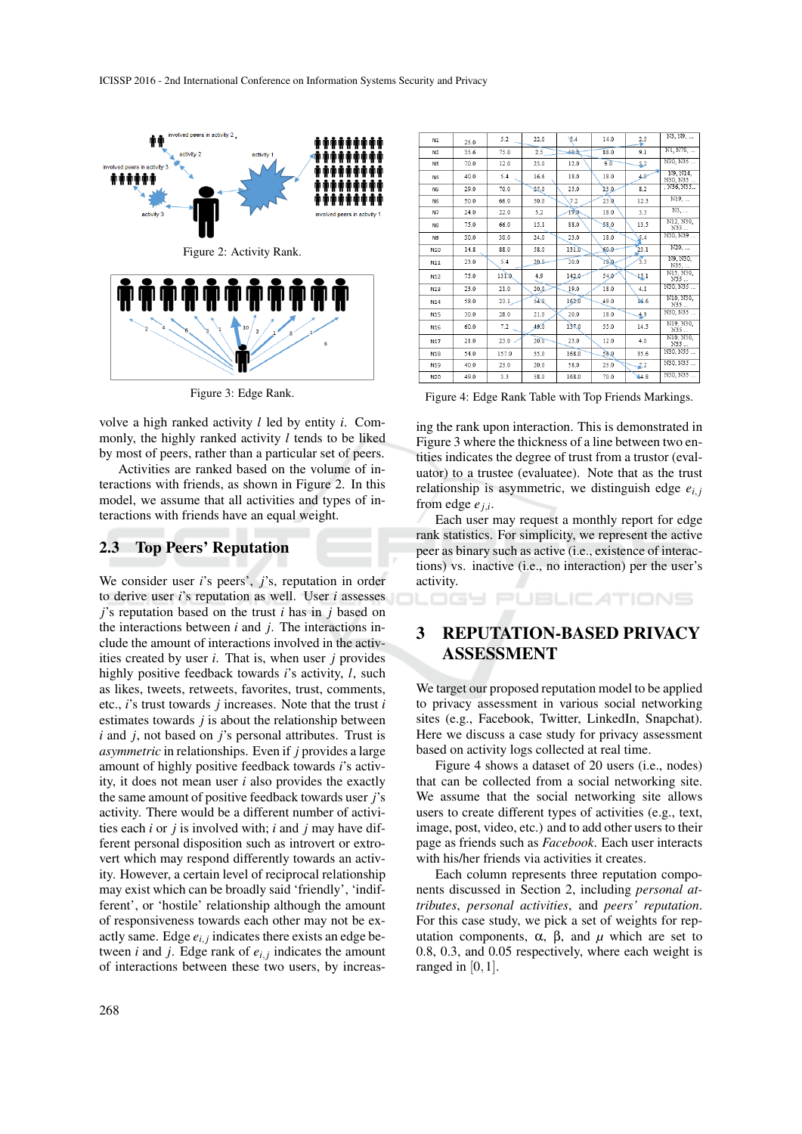

Figure 3: Edge Rank.

volve a high ranked activity *l* led by entity *i*. Commonly, the highly ranked activity *l* tends to be liked by most of peers, rather than a particular set of peers.

Activities are ranked based on the volume of interactions with friends, as shown in Figure 2. In this model, we assume that all activities and types of interactions with friends have an equal weight.

### 2.3 Top Peers' Reputation

We consider user *i*'s peers', *j*'s, reputation in order to derive user *i*'s reputation as well. User *i* assesses *j*'s reputation based on the trust *i* has in *j* based on the interactions between *i* and *j*. The interactions include the amount of interactions involved in the activities created by user *i*. That is, when user *j* provides highly positive feedback towards *i*'s activity, *l*, such as likes, tweets, retweets, favorites, trust, comments, etc., *i*'s trust towards *j* increases. Note that the trust *i* estimates towards *j* is about the relationship between *i* and *j*, not based on *j*'s personal attributes. Trust is *asymmetric* in relationships. Even if *j* provides a large amount of highly positive feedback towards *i*'s activity, it does not mean user *i* also provides the exactly the same amount of positive feedback towards user *j*'s activity. There would be a different number of activities each *i* or *j* is involved with; *i* and *j* may have different personal disposition such as introvert or extrovert which may respond differently towards an activity. However, a certain level of reciprocal relationship may exist which can be broadly said 'friendly', 'indifferent', or 'hostile' relationship although the amount of responsiveness towards each other may not be exactly same. Edge  $e_{i,j}$  indicates there exists an edge between *i* and *j*. Edge rank of  $e_{i,j}$  indicates the amount of interactions between these two users, by increas-

| N1             | 25.0 | 5.2   | 22.0 | $\sqrt{5.4}$ | 14.0 | 2.5  | N3, N9,              |
|----------------|------|-------|------|--------------|------|------|----------------------|
| N <sub>2</sub> | 35.6 | 75.0  | 2.5  | 50.0         | 88.0 | 9.1  | NI. N70.             |
| N3             | 70.0 | 12.0  | 23.0 | 12.0         | 9.0  | 5.2  | N30. N35             |
| N <sub>4</sub> | 40.0 | 5.4   | 16.6 | 18.0         | 18.0 | 4.0  | N9, N14.<br>N30, N35 |
| N5             | 29.0 | 70.0  | 25.0 | 25.0         | 23.0 | 8.2  | , N36, N35           |
| N6             | 50.0 | 66.0  | 50.0 | 7.2          | 23.0 | 12.3 | N19.                 |
| N7             | 24.0 | 22.0  | 5.2  | 19.0         | 18.0 | 3.3  | N3,                  |
| N8             | 75.0 | 66.0  | 15.1 | 88.0         | 58.0 | 13.5 | N12, N30.<br>N35     |
| N <sub>9</sub> | 30.0 | 30.0  | 24.0 | 23.0         | 18.0 | 5.4  | N30, N39             |
| N10            | 14.8 | 88.0  | 58.0 | 131.0        | 60.0 | 23.1 | N20                  |
| N11            | 23.0 | 5.4   | 20.0 | 20.0         | 18.0 | 3.3  | N9, N30,<br>N35      |
| N12            | 75.0 | 131.0 | 4.9  | 142.0        | 54.0 | 45.1 | N15, N30,<br>N35     |
| N13            | 23.0 | 21.0  | 20.0 | 19.0         | 18.0 | 4.1  | N30, N35             |
| N14            | 58.0 | 23.1  | 54.0 | 162.0        | 49.0 | 16.6 | N10, N30,<br>N35     |
| N15            | 30.0 | 28.0  | 21.0 | 20.0         | 18.0 | 4.9  | N30, N35             |
| N16            | 60.0 | 7.2   | 49.0 | 158.0        | 55.0 | 14.5 | N19, N30.<br>N35     |
| N17            | 21.0 | 23.0  | 20.0 | 23.0         | 12.0 | 4.0  | N10, N50.<br>N35     |
| N18            | 54.0 | 157.0 | 55.0 | 168.0        | 58.0 | 35.6 | N30, N55             |
| N19            | 40.0 | 23.0  | 20.0 | 58.0         | 23.0 | J.2  | N30, N35             |
| N20            | 49.0 | 3.3   | 58.0 | 168.0        | 70.0 | 44.8 | N30, N35             |

Figure 4: Edge Rank Table with Top Friends Markings.

ing the rank upon interaction. This is demonstrated in Figure 3 where the thickness of a line between two entities indicates the degree of trust from a trustor (evaluator) to a trustee (evaluatee). Note that as the trust relationship is asymmetric, we distinguish edge  $e_{i,j}$ from edge *ej*,*<sup>i</sup>* .

Each user may request a monthly report for edge rank statistics. For simplicity, we represent the active peer as binary such as active (i.e., existence of interactions) vs. inactive (i.e., no interaction) per the user's activity.

**PUBLICATIONS** 

## 3 REPUTATION-BASED PRIVACY ASSESSMENT

We target our proposed reputation model to be applied to privacy assessment in various social networking sites (e.g., Facebook, Twitter, LinkedIn, Snapchat). Here we discuss a case study for privacy assessment based on activity logs collected at real time.

Figure 4 shows a dataset of 20 users (i.e., nodes) that can be collected from a social networking site. We assume that the social networking site allows users to create different types of activities (e.g., text, image, post, video, etc.) and to add other users to their page as friends such as *Facebook*. Each user interacts with his/her friends via activities it creates.

Each column represents three reputation components discussed in Section 2, including *personal attributes*, *personal activities*, and *peers' reputation*. For this case study, we pick a set of weights for reputation components,  $\alpha$ ,  $\beta$ , and *μ* which are set to 0.8, 0.3, and 0.05 respectively, where each weight is ranged in [0,1].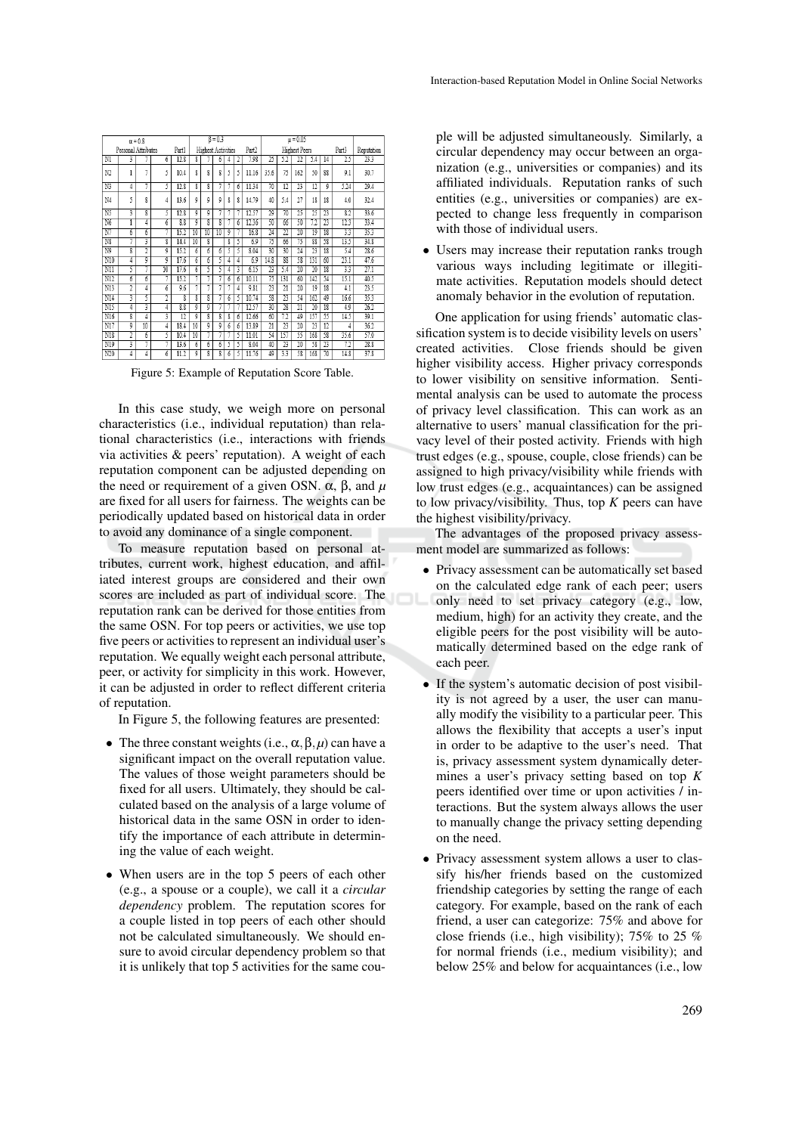| $\alpha = 0.8$               |   |    |                           |                 | $B = 0.3$      |                |                |               | $\mu = 0.05$ |       |                 |                   |                          |                 |    |      |      |
|------------------------------|---|----|---------------------------|-----------------|----------------|----------------|----------------|---------------|--------------|-------|-----------------|-------------------|--------------------------|-----------------|----|------|------|
| Personal Attributes<br>Part1 |   |    | <b>Highest Activities</b> |                 |                |                | Part2          | Highest Peers |              |       |                 | Part <sub>3</sub> | Reputation               |                 |    |      |      |
| N1                           | 3 |    | 6                         | 12.8            | g              |                | 6              | 4             | 2            | 7.98  | 25              | 5.2               | 22                       | 5.4             | 14 | 2.5  | 23.3 |
| N <sub>2</sub>               | 1 | 7  | 5                         | 10.4            | 8              | Š              | Ś              | ٢             | 5            | 11.16 | 35.6            | 75                | 162                      | 50              | 88 | 9.1  | 30.7 |
| N3                           | 4 | 7  | 5                         | 12.8            | g              | g              |                |               | 6            | 11.34 | 70              | 12                | 23                       | 12              | ŷ  | 5.24 | 29.4 |
| N4                           | 5 | 8  | 4                         | 13.6            | 9              | 9              | 9              | g             | Š            | 14.79 | 40              | 5.4               | 27                       | 18              | 18 | 4.0  | 32.4 |
| N5                           | 3 | 8  | 5                         | 12.8            | 9              | 9              |                |               |              | 12.57 | 29              | 70                | 25                       | 25              | 23 | 8.2  | 33.6 |
| N <sub>6</sub>               | ī | 4  | 6                         | 8.8             | 9              | g              | s              |               | 6            | 12.36 | 50              | 66                | 50                       | 7.2             | 23 | 12.3 | 33.4 |
| N7                           | 6 | 6  | 7                         | 15.2            | 10             | 10             | 10             | 9             |              | 16.8  |                 | 22                | $\overline{20}$          | 19              | 18 | 3.3  | 35.3 |
| N8                           | 7 | 3  | 8                         | 14.4            | 10             | g              |                | ġ             | 5            | 6.9   | 75              | 66                | 75                       | 88              | 58 | 13.5 | 34.8 |
| $\overline{N9}$              | g | ī  | 9                         | 15.2            | 6              | 6              | $\overline{6}$ | ٢             | 5            | 8.04  | $\overline{30}$ | $\overline{30}$   | $\overline{\mathrm{24}}$ | $\overline{23}$ | 18 | 5.4  | 28.6 |
| N10                          | 4 | 9  | 9                         | 17.6            | 6              | 6              | 5              | 4             | 4            | 6.9   | 14.8            | 88                | 58                       | 131             | 60 | 23.1 | 47.6 |
| N11                          | 5 | 7  | $\overline{10}$           | 17.6            | 6              | 5              | 5              | Δ             | 3            | 6.15  | $\overline{23}$ | 5.4               | $\overline{20}$          | $\overline{20}$ | 18 | 3.3  | 27.1 |
| $\overline{\mathrm{N12}}$    | 6 | 6  | 7                         | 15.2            | 7              | 7              |                | 6             | 6            | 10.11 | 75              | 131               | 60                       | 142             | 54 | 15.1 | 40.5 |
| N13                          | 2 | 4  | 6                         | 9.6             |                |                |                |               | 4            | 9.81  | 23              | $\overline{21}$   | $\overline{20}$          | 19              | 18 | 4.1  | 23.5 |
| N14                          | 3 | 5  | 2                         | 8               | g              | g              |                | 6             | 5            | 10.74 | 58              | $\overline{23}$   | 54                       | 162             | 49 | 16.6 | 35.3 |
| N15                          | 4 | 3  | 4                         | 8.8             | g              | 9              |                |               |              | 12.57 | 30              | $\overline{28}$   | $\overline{21}$          | $\overline{20}$ | 18 | 4.9  | 26.2 |
| N16                          | g | 4  | 3                         | $\overline{12}$ | 9              | $\overline{s}$ | g              | 8             | 6            | 12.66 | 60              | 7.2               | 49                       | 157             | 55 | 14.5 | 39.1 |
| N17                          | ŷ | 10 | 4                         | 18.4            | 10             | 9              | 9              | 6             | 6            | 13.89 | $^{21}$         | 23                | 20                       | 23              | 12 | 4    | 36.2 |
| N18                          | 2 | 6  | 5                         | 10.4            | 10             | 7              |                |               | 5            | 11.01 | 54              | 157               | 55                       | 168             | 58 | 35.6 | 57.0 |
| N19                          | 3 | 7  |                           | 13.6            | $\overline{6}$ | 6              | 6              | 5             | 5            | 8.04  | 40              | $\overline{23}$   | $\overline{20}$          | 58              | 23 | 7.2  | 28.8 |
| N20                          | 4 | 4  | 6                         | 11.2            | 9              | g              | ŝ              | 6             | 5            | 11.76 | 49              | 3.3               | 58                       | 168             | 70 | 14.8 | 37.8 |

Figure 5: Example of Reputation Score Table.

In this case study, we weigh more on personal characteristics (i.e., individual reputation) than relational characteristics (i.e., interactions with friends via activities & peers' reputation). A weight of each reputation component can be adjusted depending on the need or requirement of a given OSN. α, β, and *µ* are fixed for all users for fairness. The weights can be periodically updated based on historical data in order to avoid any dominance of a single component.

To measure reputation based on personal attributes, current work, highest education, and affiliated interest groups are considered and their own scores are included as part of individual score. The reputation rank can be derived for those entities from the same OSN. For top peers or activities, we use top five peers or activities to represent an individual user's reputation. We equally weight each personal attribute, peer, or activity for simplicity in this work. However, it can be adjusted in order to reflect different criteria of reputation.

In Figure 5, the following features are presented:

- The three constant weights (i.e.,  $\alpha$ ,  $\beta$ ,  $\mu$ ) can have a significant impact on the overall reputation value. The values of those weight parameters should be fixed for all users. Ultimately, they should be calculated based on the analysis of a large volume of historical data in the same OSN in order to identify the importance of each attribute in determining the value of each weight.
- When users are in the top 5 peers of each other (e.g., a spouse or a couple), we call it a *circular dependency* problem. The reputation scores for a couple listed in top peers of each other should not be calculated simultaneously. We should ensure to avoid circular dependency problem so that it is unlikely that top 5 activities for the same cou-

ple will be adjusted simultaneously. Similarly, a circular dependency may occur between an organization (e.g., universities or companies) and its affiliated individuals. Reputation ranks of such entities (e.g., universities or companies) are expected to change less frequently in comparison with those of individual users.

• Users may increase their reputation ranks trough various ways including legitimate or illegitimate activities. Reputation models should detect anomaly behavior in the evolution of reputation.

One application for using friends' automatic classification system is to decide visibility levels on users' created activities. Close friends should be given higher visibility access. Higher privacy corresponds to lower visibility on sensitive information. Sentimental analysis can be used to automate the process of privacy level classification. This can work as an alternative to users' manual classification for the privacy level of their posted activity. Friends with high trust edges (e.g., spouse, couple, close friends) can be assigned to high privacy/visibility while friends with low trust edges (e.g., acquaintances) can be assigned to low privacy/visibility. Thus, top *K* peers can have the highest visibility/privacy.

The advantages of the proposed privacy assessment model are summarized as follows:

- Privacy assessment can be automatically set based on the calculated edge rank of each peer; users only need to set privacy category (e.g., low, medium, high) for an activity they create, and the eligible peers for the post visibility will be automatically determined based on the edge rank of each peer.
- If the system's automatic decision of post visibility is not agreed by a user, the user can manually modify the visibility to a particular peer. This allows the flexibility that accepts a user's input in order to be adaptive to the user's need. That is, privacy assessment system dynamically determines a user's privacy setting based on top *K* peers identified over time or upon activities / interactions. But the system always allows the user to manually change the privacy setting depending on the need.
- Privacy assessment system allows a user to classify his/her friends based on the customized friendship categories by setting the range of each category. For example, based on the rank of each friend, a user can categorize: 75% and above for close friends (i.e., high visibility); 75% to 25 % for normal friends (i.e., medium visibility); and below 25% and below for acquaintances (i.e., low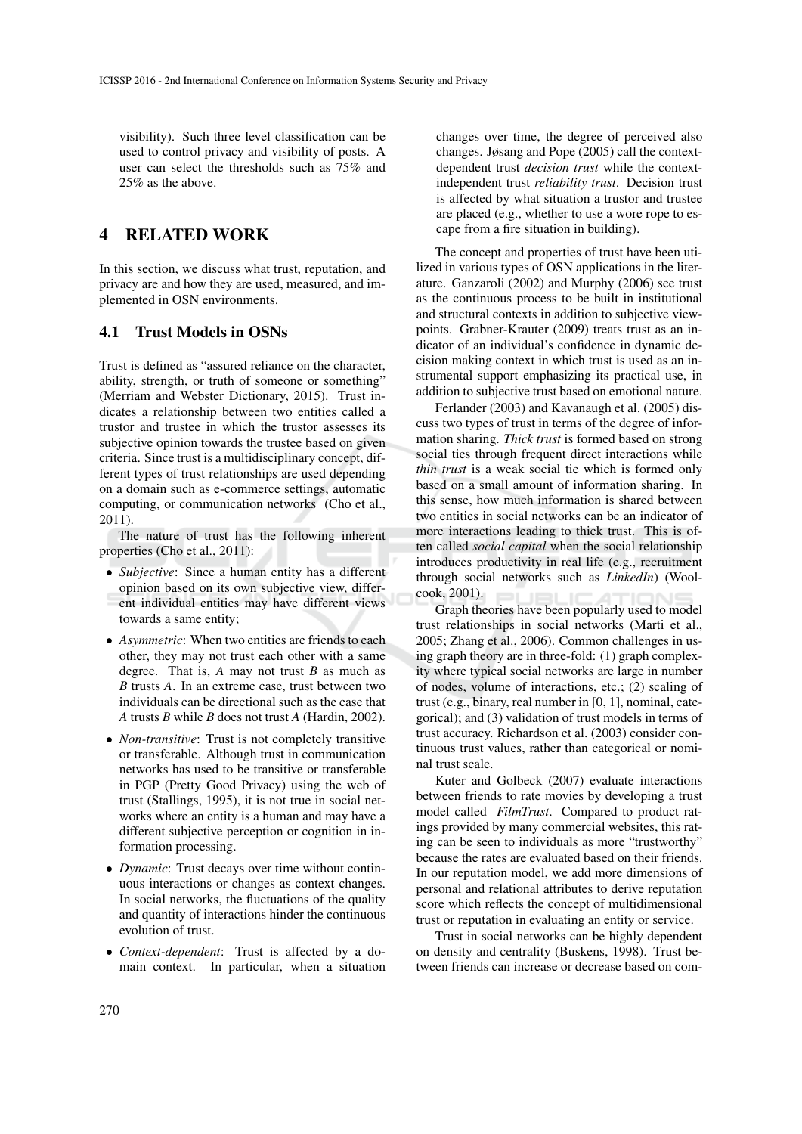visibility). Such three level classification can be used to control privacy and visibility of posts. A user can select the thresholds such as 75% and 25% as the above.

## 4 RELATED WORK

In this section, we discuss what trust, reputation, and privacy are and how they are used, measured, and implemented in OSN environments.

#### 4.1 Trust Models in OSNs

Trust is defined as "assured reliance on the character, ability, strength, or truth of someone or something" (Merriam and Webster Dictionary, 2015). Trust indicates a relationship between two entities called a trustor and trustee in which the trustor assesses its subjective opinion towards the trustee based on given criteria. Since trust is a multidisciplinary concept, different types of trust relationships are used depending on a domain such as e-commerce settings, automatic computing, or communication networks (Cho et al., 2011).

The nature of trust has the following inherent properties (Cho et al., 2011):

- *Subjective*: Since a human entity has a different opinion based on its own subjective view, different individual entities may have different views towards a same entity;
- *Asymmetric*: When two entities are friends to each other, they may not trust each other with a same degree. That is, *A* may not trust *B* as much as *B* trusts *A*. In an extreme case, trust between two individuals can be directional such as the case that *A* trusts *B* while *B* does not trust *A* (Hardin, 2002).
- *Non-transitive*: Trust is not completely transitive or transferable. Although trust in communication networks has used to be transitive or transferable in PGP (Pretty Good Privacy) using the web of trust (Stallings, 1995), it is not true in social networks where an entity is a human and may have a different subjective perception or cognition in information processing.
- *Dynamic*: Trust decays over time without continuous interactions or changes as context changes. In social networks, the fluctuations of the quality and quantity of interactions hinder the continuous evolution of trust.
- *Context-dependent*: Trust is affected by a domain context. In particular, when a situation

changes over time, the degree of perceived also changes. Jøsang and Pope (2005) call the contextdependent trust *decision trust* while the contextindependent trust *reliability trust*. Decision trust is affected by what situation a trustor and trustee are placed (e.g., whether to use a wore rope to escape from a fire situation in building).

The concept and properties of trust have been utilized in various types of OSN applications in the literature. Ganzaroli (2002) and Murphy (2006) see trust as the continuous process to be built in institutional and structural contexts in addition to subjective viewpoints. Grabner-Krauter (2009) treats trust as an indicator of an individual's confidence in dynamic decision making context in which trust is used as an instrumental support emphasizing its practical use, in addition to subjective trust based on emotional nature.

Ferlander (2003) and Kavanaugh et al. (2005) discuss two types of trust in terms of the degree of information sharing. *Thick trust* is formed based on strong social ties through frequent direct interactions while *thin trust* is a weak social tie which is formed only based on a small amount of information sharing. In this sense, how much information is shared between two entities in social networks can be an indicator of more interactions leading to thick trust. This is often called *social capital* when the social relationship introduces productivity in real life (e.g., recruitment through social networks such as *LinkedIn*) (Woolcook, 2001).

Graph theories have been popularly used to model trust relationships in social networks (Marti et al., 2005; Zhang et al., 2006). Common challenges in using graph theory are in three-fold: (1) graph complexity where typical social networks are large in number of nodes, volume of interactions, etc.; (2) scaling of trust (e.g., binary, real number in [0, 1], nominal, categorical); and (3) validation of trust models in terms of trust accuracy. Richardson et al. (2003) consider continuous trust values, rather than categorical or nominal trust scale.

Kuter and Golbeck (2007) evaluate interactions between friends to rate movies by developing a trust model called *FilmTrust*. Compared to product ratings provided by many commercial websites, this rating can be seen to individuals as more "trustworthy" because the rates are evaluated based on their friends. In our reputation model, we add more dimensions of personal and relational attributes to derive reputation score which reflects the concept of multidimensional trust or reputation in evaluating an entity or service.

Trust in social networks can be highly dependent on density and centrality (Buskens, 1998). Trust between friends can increase or decrease based on com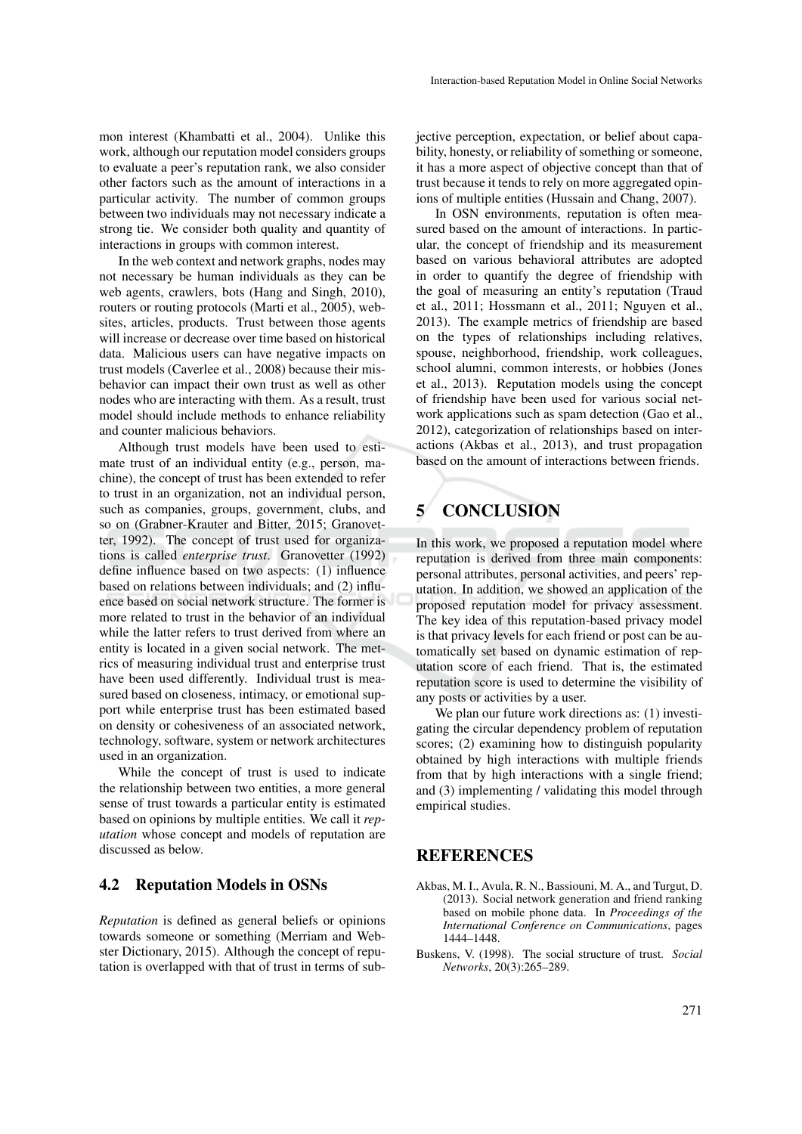mon interest (Khambatti et al., 2004). Unlike this work, although our reputation model considers groups to evaluate a peer's reputation rank, we also consider other factors such as the amount of interactions in a particular activity. The number of common groups between two individuals may not necessary indicate a strong tie. We consider both quality and quantity of interactions in groups with common interest.

In the web context and network graphs, nodes may not necessary be human individuals as they can be web agents, crawlers, bots (Hang and Singh, 2010), routers or routing protocols (Marti et al., 2005), websites, articles, products. Trust between those agents will increase or decrease over time based on historical data. Malicious users can have negative impacts on trust models (Caverlee et al., 2008) because their misbehavior can impact their own trust as well as other nodes who are interacting with them. As a result, trust model should include methods to enhance reliability and counter malicious behaviors.

Although trust models have been used to estimate trust of an individual entity (e.g., person, machine), the concept of trust has been extended to refer to trust in an organization, not an individual person, such as companies, groups, government, clubs, and so on (Grabner-Krauter and Bitter, 2015; Granovetter, 1992). The concept of trust used for organizations is called *enterprise trust*. Granovetter (1992) define influence based on two aspects: (1) influence based on relations between individuals; and (2) influence based on social network structure. The former is more related to trust in the behavior of an individual while the latter refers to trust derived from where an entity is located in a given social network. The metrics of measuring individual trust and enterprise trust have been used differently. Individual trust is measured based on closeness, intimacy, or emotional support while enterprise trust has been estimated based on density or cohesiveness of an associated network, technology, software, system or network architectures used in an organization.

While the concept of trust is used to indicate the relationship between two entities, a more general sense of trust towards a particular entity is estimated based on opinions by multiple entities. We call it *reputation* whose concept and models of reputation are discussed as below.

### 4.2 Reputation Models in OSNs

*Reputation* is defined as general beliefs or opinions towards someone or something (Merriam and Webster Dictionary, 2015). Although the concept of reputation is overlapped with that of trust in terms of subjective perception, expectation, or belief about capability, honesty, or reliability of something or someone, it has a more aspect of objective concept than that of trust because it tends to rely on more aggregated opinions of multiple entities (Hussain and Chang, 2007).

In OSN environments, reputation is often measured based on the amount of interactions. In particular, the concept of friendship and its measurement based on various behavioral attributes are adopted in order to quantify the degree of friendship with the goal of measuring an entity's reputation (Traud et al., 2011; Hossmann et al., 2011; Nguyen et al., 2013). The example metrics of friendship are based on the types of relationships including relatives, spouse, neighborhood, friendship, work colleagues, school alumni, common interests, or hobbies (Jones et al., 2013). Reputation models using the concept of friendship have been used for various social network applications such as spam detection (Gao et al., 2012), categorization of relationships based on interactions (Akbas et al., 2013), and trust propagation based on the amount of interactions between friends.

# 5 CONCLUSION

In this work, we proposed a reputation model where reputation is derived from three main components: personal attributes, personal activities, and peers' reputation. In addition, we showed an application of the proposed reputation model for privacy assessment. The key idea of this reputation-based privacy model is that privacy levels for each friend or post can be automatically set based on dynamic estimation of reputation score of each friend. That is, the estimated reputation score is used to determine the visibility of any posts or activities by a user.

We plan our future work directions as: (1) investigating the circular dependency problem of reputation scores; (2) examining how to distinguish popularity obtained by high interactions with multiple friends from that by high interactions with a single friend; and (3) implementing / validating this model through empirical studies.

### REFERENCES

- Akbas, M. I., Avula, R. N., Bassiouni, M. A., and Turgut, D. (2013). Social network generation and friend ranking based on mobile phone data. In *Proceedings of the International Conference on Communications*, pages 1444–1448.
- Buskens, V. (1998). The social structure of trust. *Social Networks*, 20(3):265–289.